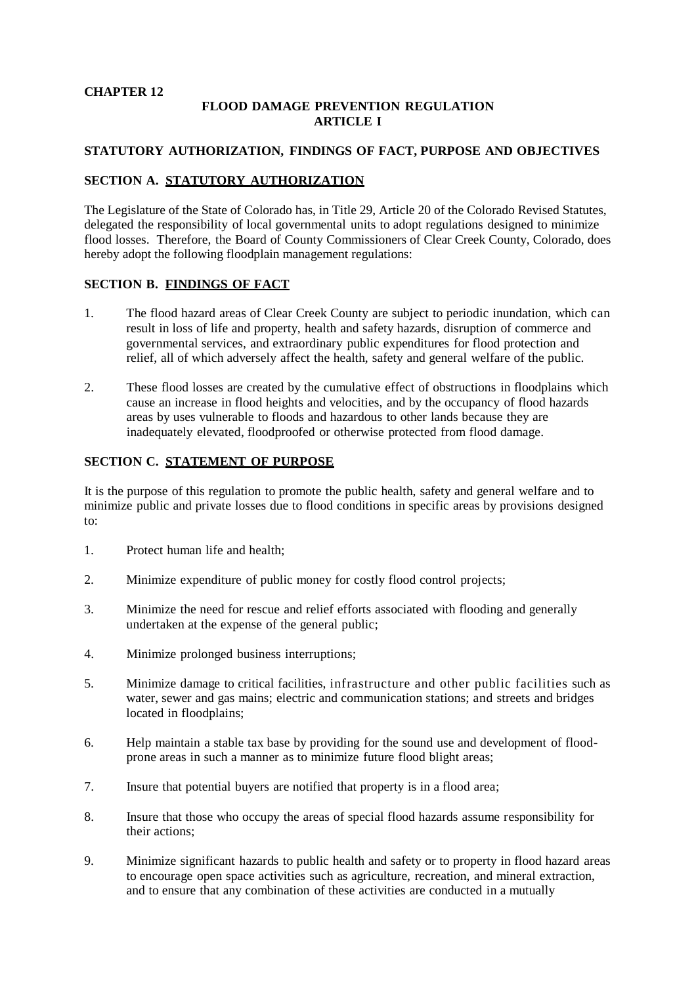#### **CHAPTER 12**

### **FLOOD DAMAGE PREVENTION REGULATION ARTICLE I**

### **STATUTORY AUTHORIZATION, FINDINGS OF FACT, PURPOSE AND OBJECTIVES**

### **SECTION A. STATUTORY AUTHORIZATION**

The Legislature of the State of Colorado has, in Title 29, Article 20 of the Colorado Revised Statutes, delegated the responsibility of local governmental units to adopt regulations designed to minimize flood losses. Therefore, the Board of County Commissioners of Clear Creek County, Colorado, does hereby adopt the following floodplain management regulations:

### **SECTION B. FINDINGS OF FACT**

- 1. The flood hazard areas of Clear Creek County are subject to periodic inundation, which can result in loss of life and property, health and safety hazards, disruption of commerce and governmental services, and extraordinary public expenditures for flood protection and relief, all of which adversely affect the health, safety and general welfare of the public.
- 2. These flood losses are created by the cumulative effect of obstructions in floodplains which cause an increase in flood heights and velocities, and by the occupancy of flood hazards areas by uses vulnerable to floods and hazardous to other lands because they are inadequately elevated, floodproofed or otherwise protected from flood damage.

### **SECTION C. STATEMENT OF PURPOSE**

It is the purpose of this regulation to promote the public health, safety and general welfare and to minimize public and private losses due to flood conditions in specific areas by provisions designed to:

- 1. Protect human life and health;
- 2. Minimize expenditure of public money for costly flood control projects;
- 3. Minimize the need for rescue and relief efforts associated with flooding and generally undertaken at the expense of the general public;
- 4. Minimize prolonged business interruptions;
- 5. Minimize damage to critical facilities, infrastructure and other public facilities such as water, sewer and gas mains; electric and communication stations; and streets and bridges located in floodplains;
- 6. Help maintain a stable tax base by providing for the sound use and development of floodprone areas in such a manner as to minimize future flood blight areas;
- 7. Insure that potential buyers are notified that property is in a flood area;
- 8. Insure that those who occupy the areas of special flood hazards assume responsibility for their actions;
- 9. Minimize significant hazards to public health and safety or to property in flood hazard areas to encourage open space activities such as agriculture, recreation, and mineral extraction, and to ensure that any combination of these activities are conducted in a mutually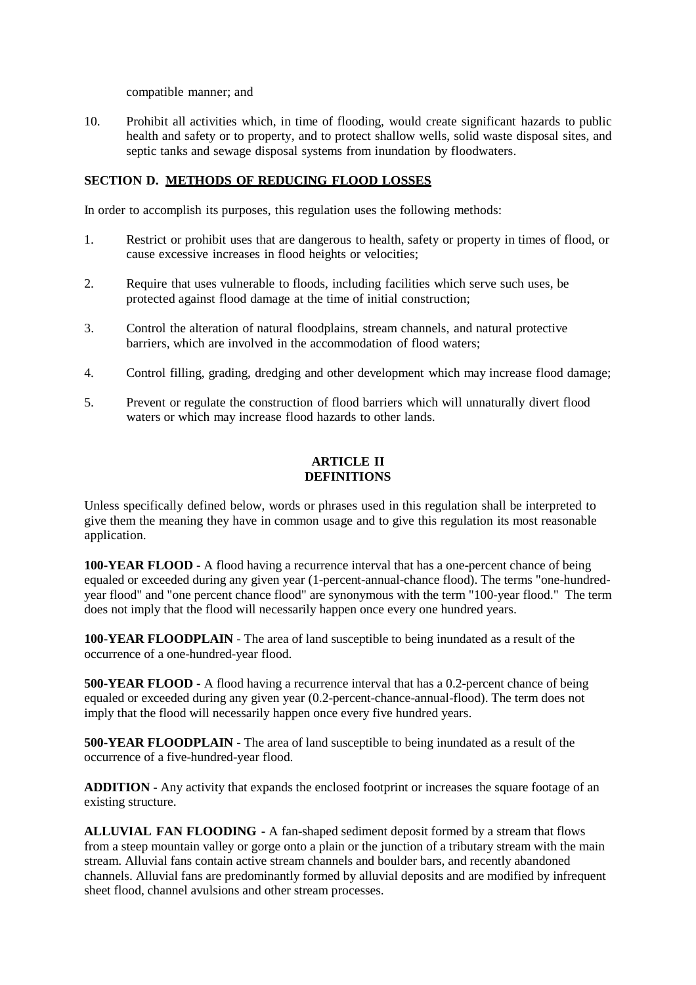compatible manner; and

10. Prohibit all activities which, in time of flooding, would create significant hazards to public health and safety or to property, and to protect shallow wells, solid waste disposal sites, and septic tanks and sewage disposal systems from inundation by floodwaters.

#### **SECTION D. METHODS OF REDUCING FLOOD LOSSES**

In order to accomplish its purposes, this regulation uses the following methods:

- 1. Restrict or prohibit uses that are dangerous to health, safety or property in times of flood, or cause excessive increases in flood heights or velocities;
- 2. Require that uses vulnerable to floods, including facilities which serve such uses, be protected against flood damage at the time of initial construction;
- 3. Control the alteration of natural floodplains, stream channels, and natural protective barriers, which are involved in the accommodation of flood waters;
- 4. Control filling, grading, dredging and other development which may increase flood damage;
- 5. Prevent or regulate the construction of flood barriers which will unnaturally divert flood waters or which may increase flood hazards to other lands.

### **ARTICLE II DEFINITIONS**

Unless specifically defined below, words or phrases used in this regulation shall be interpreted to give them the meaning they have in common usage and to give this regulation its most reasonable application.

**100-YEAR FLOOD** - A flood having a recurrence interval that has a one-percent chance of being equaled or exceeded during any given year (1-percent-annual-chance flood). The terms "one-hundredyear flood" and "one percent chance flood" are synonymous with the term "100-year flood." The term does not imply that the flood will necessarily happen once every one hundred years.

**100-YEAR FLOODPLAIN** - The area of land susceptible to being inundated as a result of the occurrence of a one-hundred-year flood.

**500-YEAR FLOOD -** A flood having a recurrence interval that has a 0.2-percent chance of being equaled or exceeded during any given year (0.2-percent-chance-annual-flood). The term does not imply that the flood will necessarily happen once every five hundred years.

**500-YEAR FLOODPLAIN** - The area of land susceptible to being inundated as a result of the occurrence of a five-hundred-year flood.

**ADDITION** - Any activity that expands the enclosed footprint or increases the square footage of an existing structure.

**ALLUVIAL FAN FLOODING -** A fan-shaped sediment deposit formed by a stream that flows from a steep mountain valley or gorge onto a plain or the junction of a tributary stream with the main stream. Alluvial fans contain active stream channels and boulder bars, and recently abandoned channels. Alluvial fans are predominantly formed by alluvial deposits and are modified by infrequent sheet flood, channel avulsions and other stream processes.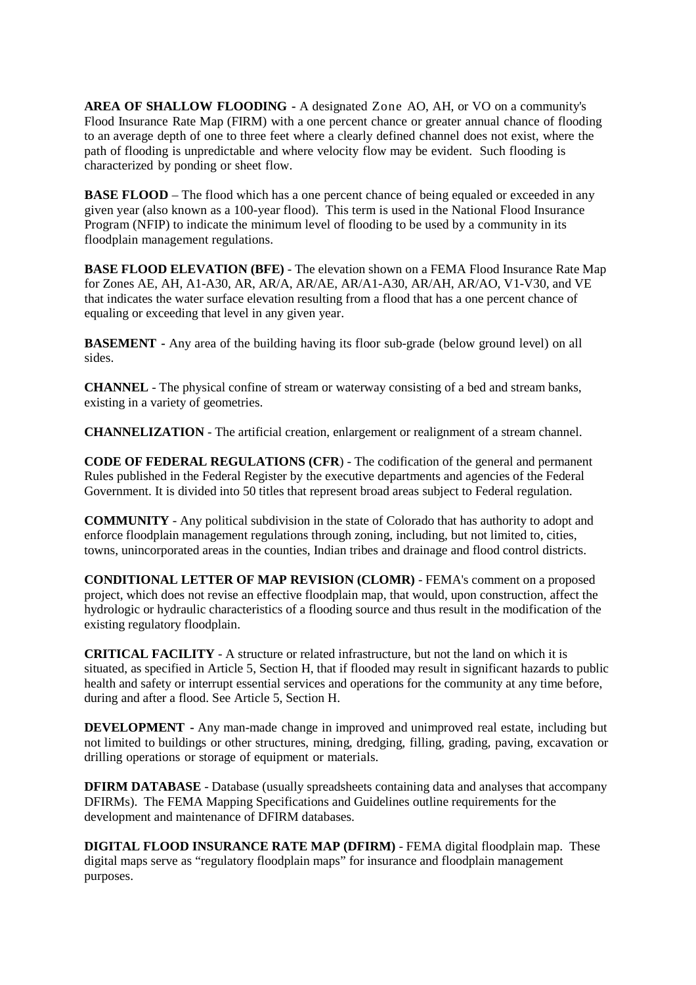**AREA OF SHALLOW FLOODING -** A designated Zone AO, AH, or VO on a community's Flood Insurance Rate Map (FIRM) with a one percent chance or greater annual chance of flooding to an average depth of one to three feet where a clearly defined channel does not exist, where the path of flooding is unpredictable and where velocity flow may be evident. Such flooding is characterized by ponding or sheet flow.

**BASE FLOOD** – The flood which has a one percent chance of being equaled or exceeded in any given year (also known as a 100-year flood). This term is used in the National Flood Insurance Program (NFIP) to indicate the minimum level of flooding to be used by a community in its floodplain management regulations.

**BASE FLOOD ELEVATION (BFE)** - The elevation shown on a FEMA Flood Insurance Rate Map for Zones AE, AH, A1-A30, AR, AR/A, AR/AE, AR/A1-A30, AR/AH, AR/AO, V1-V30, and VE that indicates the water surface elevation resulting from a flood that has a one percent chance of equaling or exceeding that level in any given year.

**BASEMENT -** Any area of the building having its floor sub-grade (below ground level) on all sides.

**CHANNEL** - The physical confine of stream or waterway consisting of a bed and stream banks, existing in a variety of geometries.

**CHANNELIZATION** - The artificial creation, enlargement or realignment of a stream channel.

**CODE OF FEDERAL REGULATIONS (CFR**) - The codification of the general and permanent Rules published in the Federal Register by the executive departments and agencies of the Federal Government. It is divided into 50 titles that represent broad areas subject to Federal regulation.

**COMMUNITY** - Any political subdivision in the state of Colorado that has authority to adopt and enforce floodplain management regulations through zoning, including, but not limited to, cities, towns, unincorporated areas in the counties, Indian tribes and drainage and flood control districts.

**CONDITIONAL LETTER OF MAP REVISION (CLOMR)** - FEMA's comment on a proposed project, which does not revise an effective floodplain map, that would, upon construction, affect the hydrologic or hydraulic characteristics of a flooding source and thus result in the modification of the existing regulatory floodplain.

**CRITICAL FACILITY** - A structure or related infrastructure, but not the land on which it is situated, as specified in Article 5, Section H, that if flooded may result in significant hazards to public health and safety or interrupt essential services and operations for the community at any time before, during and after a flood. See Article 5, Section H.

**DEVELOPMENT -** Any man-made change in improved and unimproved real estate, including but not limited to buildings or other structures, mining, dredging, filling, grading, paving, excavation or drilling operations or storage of equipment or materials.

**DFIRM DATABASE** - Database (usually spreadsheets containing data and analyses that accompany DFIRMs). The FEMA Mapping Specifications and Guidelines outline requirements for the development and maintenance of DFIRM databases.

**DIGITAL FLOOD INSURANCE RATE MAP (DFIRM)** - FEMA digital floodplain map. These digital maps serve as "regulatory floodplain maps" for insurance and floodplain management purposes.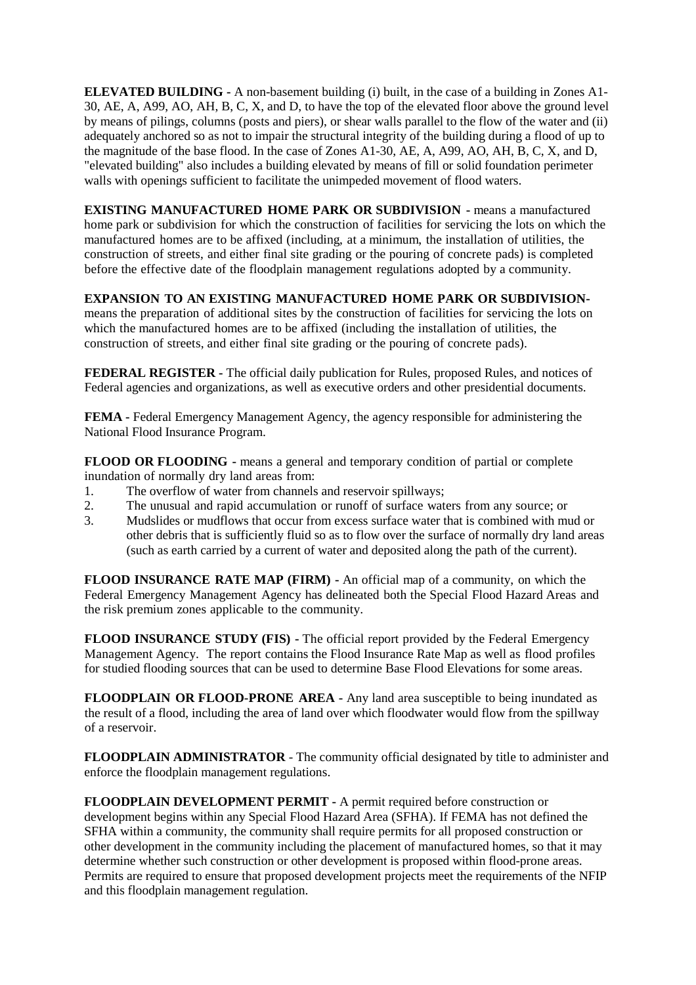**ELEVATED BUILDING -** A non-basement building (i) built, in the case of a building in Zones A1- 30, AE, A, A99, AO, AH, B, C, X, and D, to have the top of the elevated floor above the ground level by means of pilings, columns (posts and piers), or shear walls parallel to the flow of the water and (ii) adequately anchored so as not to impair the structural integrity of the building during a flood of up to the magnitude of the base flood. In the case of Zones A1-30, AE, A, A99, AO, AH, B, C, X, and D, "elevated building" also includes a building elevated by means of fill or solid foundation perimeter walls with openings sufficient to facilitate the unimpeded movement of flood waters.

**EXISTING MANUFACTURED HOME PARK OR SUBDIVISION -** means a manufactured home park or subdivision for which the construction of facilities for servicing the lots on which the manufactured homes are to be affixed (including, at a minimum, the installation of utilities, the construction of streets, and either final site grading or the pouring of concrete pads) is completed before the effective date of the floodplain management regulations adopted by a community.

**EXPANSION TO AN EXISTING MANUFACTURED HOME PARK OR SUBDIVISION**means the preparation of additional sites by the construction of facilities for servicing the lots on which the manufactured homes are to be affixed (including the installation of utilities, the construction of streets, and either final site grading or the pouring of concrete pads).

**FEDERAL REGISTER -** The official daily publication for Rules, proposed Rules, and notices of Federal agencies and organizations, as well as executive orders and other presidential documents.

**FEMA -** Federal Emergency Management Agency, the agency responsible for administering the National Flood Insurance Program.

**FLOOD OR FLOODING -** means a general and temporary condition of partial or complete inundation of normally dry land areas from:

- 1. The overflow of water from channels and reservoir spillways;
- 2. The unusual and rapid accumulation or runoff of surface waters from any source; or
- 3. Mudslides or mudflows that occur from excess surface water that is combined with mud or other debris that is sufficiently fluid so as to flow over the surface of normally dry land areas (such as earth carried by a current of water and deposited along the path of the current).

**FLOOD INSURANCE RATE MAP (FIRM) -** An official map of a community, on which the Federal Emergency Management Agency has delineated both the Special Flood Hazard Areas and the risk premium zones applicable to the community.

**FLOOD INSURANCE STUDY (FIS) -** The official report provided by the Federal Emergency Management Agency. The report contains the Flood Insurance Rate Map as well as flood profiles for studied flooding sources that can be used to determine Base Flood Elevations for some areas.

**FLOODPLAIN OR FLOOD-PRONE AREA -** Any land area susceptible to being inundated as the result of a flood, including the area of land over which floodwater would flow from the spillway of a reservoir.

**FLOODPLAIN ADMINISTRATOR** - The community official designated by title to administer and enforce the floodplain management regulations.

**FLOODPLAIN DEVELOPMENT PERMIT -** A permit required before construction or development begins within any Special Flood Hazard Area (SFHA). If FEMA has not defined the SFHA within a community, the community shall require permits for all proposed construction or other development in the community including the placement of manufactured homes, so that it may determine whether such construction or other development is proposed within flood-prone areas. Permits are required to ensure that proposed development projects meet the requirements of the NFIP and this floodplain management regulation.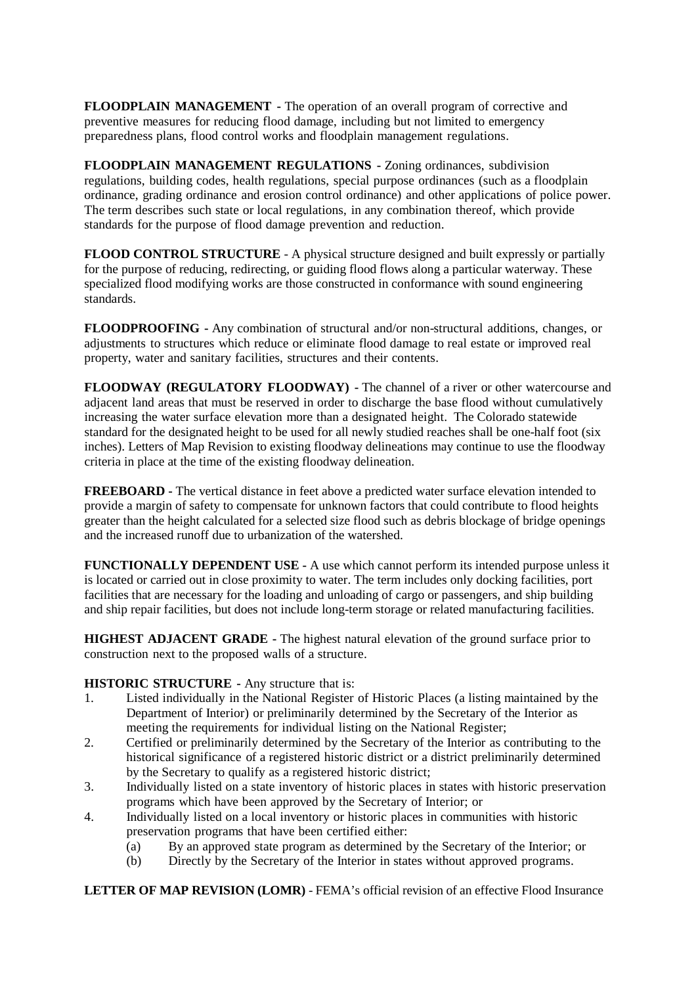**FLOODPLAIN MANAGEMENT -** The operation of an overall program of corrective and preventive measures for reducing flood damage, including but not limited to emergency preparedness plans, flood control works and floodplain management regulations.

**FLOODPLAIN MANAGEMENT REGULATIONS -** Zoning ordinances, subdivision regulations, building codes, health regulations, special purpose ordinances (such as a floodplain ordinance, grading ordinance and erosion control ordinance) and other applications of police power. The term describes such state or local regulations, in any combination thereof, which provide standards for the purpose of flood damage prevention and reduction.

**FLOOD CONTROL STRUCTURE** - A physical structure designed and built expressly or partially for the purpose of reducing, redirecting, or guiding flood flows along a particular waterway. These specialized flood modifying works are those constructed in conformance with sound engineering standards.

**FLOODPROOFING -** Any combination of structural and/or non-structural additions, changes, or adjustments to structures which reduce or eliminate flood damage to real estate or improved real property, water and sanitary facilities, structures and their contents.

**FLOODWAY (REGULATORY FLOODWAY) -** The channel of a river or other watercourse and adjacent land areas that must be reserved in order to discharge the base flood without cumulatively increasing the water surface elevation more than a designated height. The Colorado statewide standard for the designated height to be used for all newly studied reaches shall be one-half foot (six inches). Letters of Map Revision to existing floodway delineations may continue to use the floodway criteria in place at the time of the existing floodway delineation.

**FREEBOARD -** The vertical distance in feet above a predicted water surface elevation intended to provide a margin of safety to compensate for unknown factors that could contribute to flood heights greater than the height calculated for a selected size flood such as debris blockage of bridge openings and the increased runoff due to urbanization of the watershed.

**FUNCTIONALLY DEPENDENT USE -** A use which cannot perform its intended purpose unless it is located or carried out in close proximity to water. The term includes only docking facilities, port facilities that are necessary for the loading and unloading of cargo or passengers, and ship building and ship repair facilities, but does not include long-term storage or related manufacturing facilities.

**HIGHEST ADJACENT GRADE -** The highest natural elevation of the ground surface prior to construction next to the proposed walls of a structure.

## **HISTORIC STRUCTURE -** Any structure that is:

- 1. Listed individually in the National Register of Historic Places (a listing maintained by the Department of Interior) or preliminarily determined by the Secretary of the Interior as meeting the requirements for individual listing on the National Register;
- 2. Certified or preliminarily determined by the Secretary of the Interior as contributing to the historical significance of a registered historic district or a district preliminarily determined by the Secretary to qualify as a registered historic district;
- 3. Individually listed on a state inventory of historic places in states with historic preservation programs which have been approved by the Secretary of Interior; or
- 4. Individually listed on a local inventory or historic places in communities with historic preservation programs that have been certified either:
	- (a) By an approved state program as determined by the Secretary of the Interior; or
	- (b) Directly by the Secretary of the Interior in states without approved programs.

**LETTER OF MAP REVISION (LOMR)** - FEMA's official revision of an effective Flood Insurance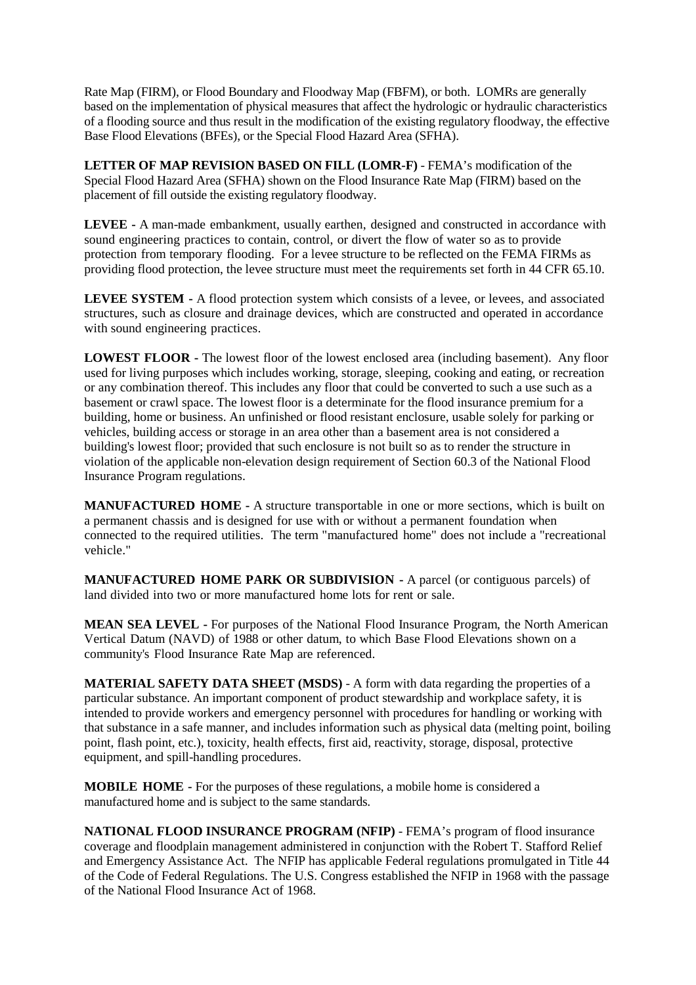Rate Map (FIRM), or Flood Boundary and Floodway Map (FBFM), or both. LOMRs are generally based on the implementation of physical measures that affect the hydrologic or hydraulic characteristics of a flooding source and thus result in the modification of the existing regulatory floodway, the effective Base Flood Elevations (BFEs), or the Special Flood Hazard Area (SFHA).

**LETTER OF MAP REVISION BASED ON FILL (LOMR-F)** - FEMA's modification of the Special Flood Hazard Area (SFHA) shown on the Flood Insurance Rate Map (FIRM) based on the placement of fill outside the existing regulatory floodway.

**LEVEE -** A man-made embankment, usually earthen, designed and constructed in accordance with sound engineering practices to contain, control, or divert the flow of water so as to provide protection from temporary flooding. For a levee structure to be reflected on the FEMA FIRMs as providing flood protection, the levee structure must meet the requirements set forth in 44 CFR 65.10.

**LEVEE SYSTEM -** A flood protection system which consists of a levee, or levees, and associated structures, such as closure and drainage devices, which are constructed and operated in accordance with sound engineering practices.

**LOWEST FLOOR -** The lowest floor of the lowest enclosed area (including basement). Any floor used for living purposes which includes working, storage, sleeping, cooking and eating, or recreation or any combination thereof. This includes any floor that could be converted to such a use such as a basement or crawl space. The lowest floor is a determinate for the flood insurance premium for a building, home or business. An unfinished or flood resistant enclosure, usable solely for parking or vehicles, building access or storage in an area other than a basement area is not considered a building's lowest floor; provided that such enclosure is not built so as to render the structure in violation of the applicable non-elevation design requirement of Section 60.3 of the National Flood Insurance Program regulations.

**MANUFACTURED HOME -** A structure transportable in one or more sections, which is built on a permanent chassis and is designed for use with or without a permanent foundation when connected to the required utilities. The term "manufactured home" does not include a "recreational vehicle."

**MANUFACTURED HOME PARK OR SUBDIVISION -** A parcel (or contiguous parcels) of land divided into two or more manufactured home lots for rent or sale.

**MEAN SEA LEVEL -** For purposes of the National Flood Insurance Program, the North American Vertical Datum (NAVD) of 1988 or other datum, to which Base Flood Elevations shown on a community's Flood Insurance Rate Map are referenced.

**MATERIAL SAFETY DATA SHEET (MSDS)** - A form with data regarding the properties of a particular substance. An important component of product stewardship and workplace safety, it is intended to provide workers and emergency personnel with procedures for handling or working with that substance in a safe manner, and includes information such as physical data (melting point, boiling point, flash point, etc.), toxicity, health effects, first aid, reactivity, storage, disposal, protective equipment, and spill-handling procedures.

**MOBILE HOME -** For the purposes of these regulations, a mobile home is considered a manufactured home and is subject to the same standards.

**NATIONAL FLOOD INSURANCE PROGRAM (NFIP)** - FEMA's program of flood insurance coverage and floodplain management administered in conjunction with the Robert T. Stafford Relief and Emergency Assistance Act. The NFIP has applicable Federal regulations promulgated in Title 44 of the Code of Federal Regulations. The U.S. Congress established the NFIP in 1968 with the passage of the National Flood Insurance Act of 1968.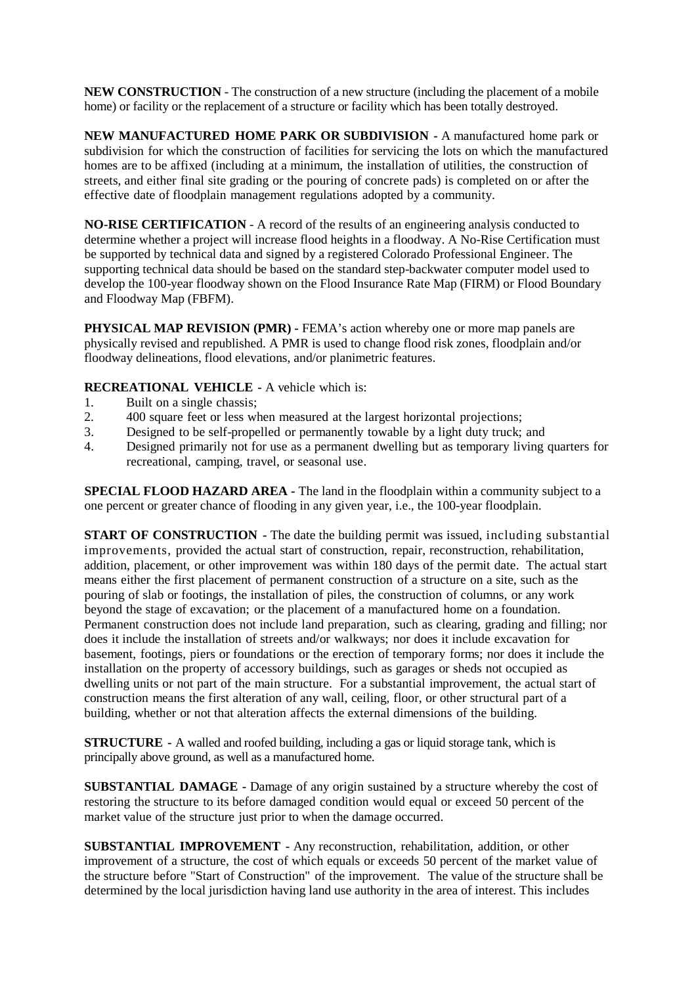**NEW CONSTRUCTION** - The construction of a new structure (including the placement of a mobile home) or facility or the replacement of a structure or facility which has been totally destroyed.

**NEW MANUFACTURED HOME PARK OR SUBDIVISION -** A manufactured home park or subdivision for which the construction of facilities for servicing the lots on which the manufactured homes are to be affixed (including at a minimum, the installation of utilities, the construction of streets, and either final site grading or the pouring of concrete pads) is completed on or after the effective date of floodplain management regulations adopted by a community.

**NO-RISE CERTIFICATION** - A record of the results of an engineering analysis conducted to determine whether a project will increase flood heights in a floodway. A No-Rise Certification must be supported by technical data and signed by a registered Colorado Professional Engineer. The supporting technical data should be based on the standard step-backwater computer model used to develop the 100-year floodway shown on the Flood Insurance Rate Map (FIRM) or Flood Boundary and Floodway Map (FBFM).

**PHYSICAL MAP REVISION (PMR) -** FEMA's action whereby one or more map panels are physically revised and republished. A PMR is used to change flood risk zones, floodplain and/or floodway delineations, flood elevations, and/or planimetric features.

### **RECREATIONAL VEHICLE -** A vehicle which is:

- 1. Built on a single chassis;
- 2. 400 square feet or less when measured at the largest horizontal projections;<br>3. Designed to be self-propelled or permanently towable by a light duty truck:
- Designed to be self-propelled or permanently towable by a light duty truck; and
- 4. Designed primarily not for use as a permanent dwelling but as temporary living quarters for recreational, camping, travel, or seasonal use.

**SPECIAL FLOOD HAZARD AREA -** The land in the floodplain within a community subject to a one percent or greater chance of flooding in any given year, i.e., the 100-year floodplain.

**START OF CONSTRUCTION -** The date the building permit was issued, including substantial improvements, provided the actual start of construction, repair, reconstruction, rehabilitation, addition, placement, or other improvement was within 180 days of the permit date. The actual start means either the first placement of permanent construction of a structure on a site, such as the pouring of slab or footings, the installation of piles, the construction of columns, or any work beyond the stage of excavation; or the placement of a manufactured home on a foundation. Permanent construction does not include land preparation, such as clearing, grading and filling; nor does it include the installation of streets and/or walkways; nor does it include excavation for basement, footings, piers or foundations or the erection of temporary forms; nor does it include the installation on the property of accessory buildings, such as garages or sheds not occupied as dwelling units or not part of the main structure. For a substantial improvement, the actual start of construction means the first alteration of any wall, ceiling, floor, or other structural part of a building, whether or not that alteration affects the external dimensions of the building.

**STRUCTURE -** A walled and roofed building, including a gas or liquid storage tank, which is principally above ground, as well as a manufactured home.

**SUBSTANTIAL DAMAGE -** Damage of any origin sustained by a structure whereby the cost of restoring the structure to its before damaged condition would equal or exceed 50 percent of the market value of the structure just prior to when the damage occurred.

**SUBSTANTIAL IMPROVEMENT -** Any reconstruction, rehabilitation, addition, or other improvement of a structure, the cost of which equals or exceeds 50 percent of the market value of the structure before "Start of Construction" of the improvement. The value of the structure shall be determined by the local jurisdiction having land use authority in the area of interest. This includes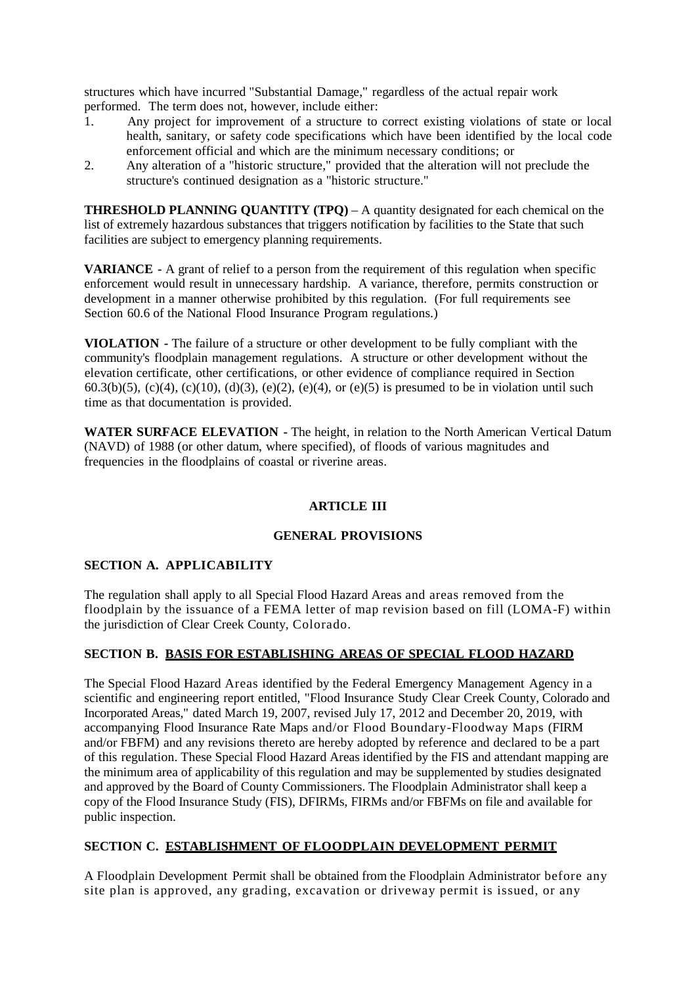structures which have incurred "Substantial Damage," regardless of the actual repair work performed. The term does not, however, include either:

- 1. Any project for improvement of a structure to correct existing violations of state or local health, sanitary, or safety code specifications which have been identified by the local code enforcement official and which are the minimum necessary conditions; or
- 2. Any alteration of a "historic structure," provided that the alteration will not preclude the structure's continued designation as a "historic structure."

**THRESHOLD PLANNING QUANTITY (TPQ)** – A quantity designated for each chemical on the list of extremely hazardous substances that triggers notification by facilities to the State that such facilities are subject to emergency planning requirements.

**VARIANCE -** A grant of relief to a person from the requirement of this regulation when specific enforcement would result in unnecessary hardship. A variance, therefore, permits construction or development in a manner otherwise prohibited by this regulation. (For full requirements see Section 60.6 of the National Flood Insurance Program regulations.)

**VIOLATION -** The failure of a structure or other development to be fully compliant with the community's floodplain management regulations. A structure or other development without the elevation certificate, other certifications, or other evidence of compliance required in Section 60.3(b)(5), (c)(4), (c)(10), (d)(3), (e)(2), (e)(4), or (e)(5) is presumed to be in violation until such time as that documentation is provided.

**WATER SURFACE ELEVATION -** The height, in relation to the North American Vertical Datum (NAVD) of 1988 (or other datum, where specified), of floods of various magnitudes and frequencies in the floodplains of coastal or riverine areas.

## **ARTICLE III**

## **GENERAL PROVISIONS**

## **SECTION A. APPLICABILITY**

The regulation shall apply to all Special Flood Hazard Areas and areas removed from the floodplain by the issuance of a FEMA letter of map revision based on fill (LOMA-F) within the jurisdiction of Clear Creek County, Colorado.

#### **SECTION B. BASIS FOR ESTABLISHING AREAS OF SPECIAL FLOOD HAZARD**

The Special Flood Hazard Areas identified by the Federal Emergency Management Agency in a scientific and engineering report entitled, "Flood Insurance Study Clear Creek County, Colorado and Incorporated Areas," dated March 19, 2007, revised July 17, 2012 and December 20, 2019, with accompanying Flood Insurance Rate Maps and/or Flood Boundary-Floodway Maps (FIRM and/or FBFM) and any revisions thereto are hereby adopted by reference and declared to be a part of this regulation. These Special Flood Hazard Areas identified by the FIS and attendant mapping are the minimum area of applicability of this regulation and may be supplemented by studies designated and approved by the Board of County Commissioners. The Floodplain Administrator shall keep a copy of the Flood Insurance Study (FIS), DFIRMs, FIRMs and/or FBFMs on file and available for public inspection.

## **SECTION C. ESTABLISHMENT OF FLOODPLAIN DEVELOPMENT PERMIT**

A Floodplain Development Permit shall be obtained from the Floodplain Administrator before any site plan is approved, any grading, excavation or driveway permit is issued, or any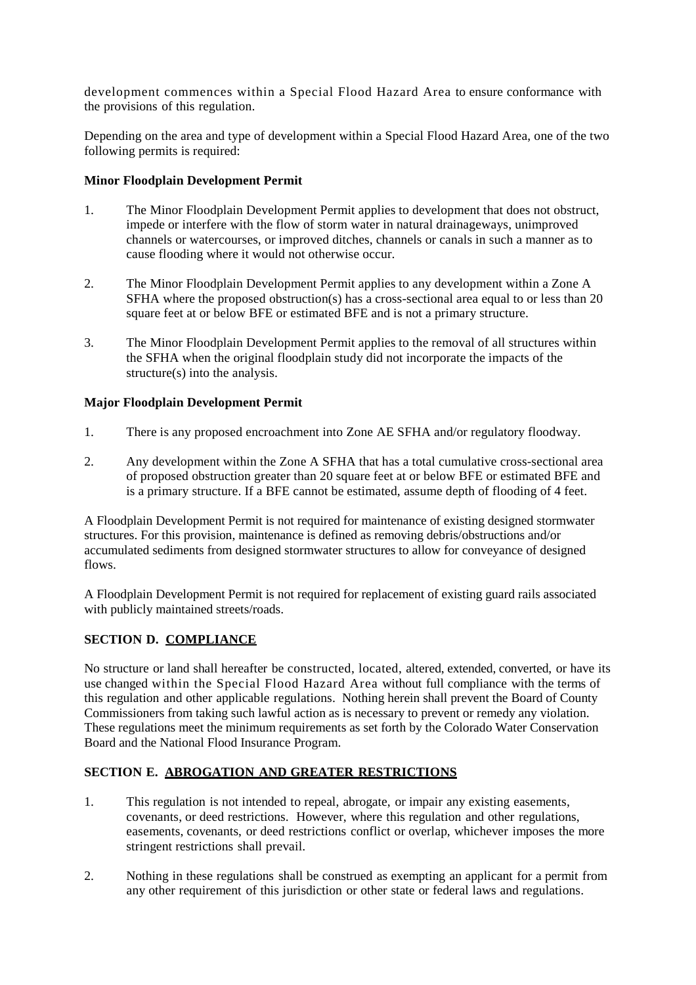development commences within a Special Flood Hazard Area to ensure conformance with the provisions of this regulation.

Depending on the area and type of development within a Special Flood Hazard Area, one of the two following permits is required:

### **Minor Floodplain Development Permit**

- 1. The Minor Floodplain Development Permit applies to development that does not obstruct, impede or interfere with the flow of storm water in natural drainageways, unimproved channels or watercourses, or improved ditches, channels or canals in such a manner as to cause flooding where it would not otherwise occur.
- 2. The Minor Floodplain Development Permit applies to any development within a Zone A SFHA where the proposed obstruction(s) has a cross-sectional area equal to or less than 20 square feet at or below BFE or estimated BFE and is not a primary structure.
- 3. The Minor Floodplain Development Permit applies to the removal of all structures within the SFHA when the original floodplain study did not incorporate the impacts of the structure(s) into the analysis.

### **Major Floodplain Development Permit**

- 1. There is any proposed encroachment into Zone AE SFHA and/or regulatory floodway.
- 2. Any development within the Zone A SFHA that has a total cumulative cross-sectional area of proposed obstruction greater than 20 square feet at or below BFE or estimated BFE and is a primary structure. If a BFE cannot be estimated, assume depth of flooding of 4 feet.

A Floodplain Development Permit is not required for maintenance of existing designed stormwater structures. For this provision, maintenance is defined as removing debris/obstructions and/or accumulated sediments from designed stormwater structures to allow for conveyance of designed flows.

A Floodplain Development Permit is not required for replacement of existing guard rails associated with publicly maintained streets/roads.

## **SECTION D. COMPLIANCE**

No structure or land shall hereafter be constructed, located, altered, extended, converted, or have its use changed within the Special Flood Hazard Area without full compliance with the terms of this regulation and other applicable regulations. Nothing herein shall prevent the Board of County Commissioners from taking such lawful action as is necessary to prevent or remedy any violation. These regulations meet the minimum requirements as set forth by the Colorado Water Conservation Board and the National Flood Insurance Program.

## **SECTION E. ABROGATION AND GREATER RESTRICTIONS**

- 1. This regulation is not intended to repeal, abrogate, or impair any existing easements, covenants, or deed restrictions. However, where this regulation and other regulations, easements, covenants, or deed restrictions conflict or overlap, whichever imposes the more stringent restrictions shall prevail.
- 2. Nothing in these regulations shall be construed as exempting an applicant for a permit from any other requirement of this jurisdiction or other state or federal laws and regulations.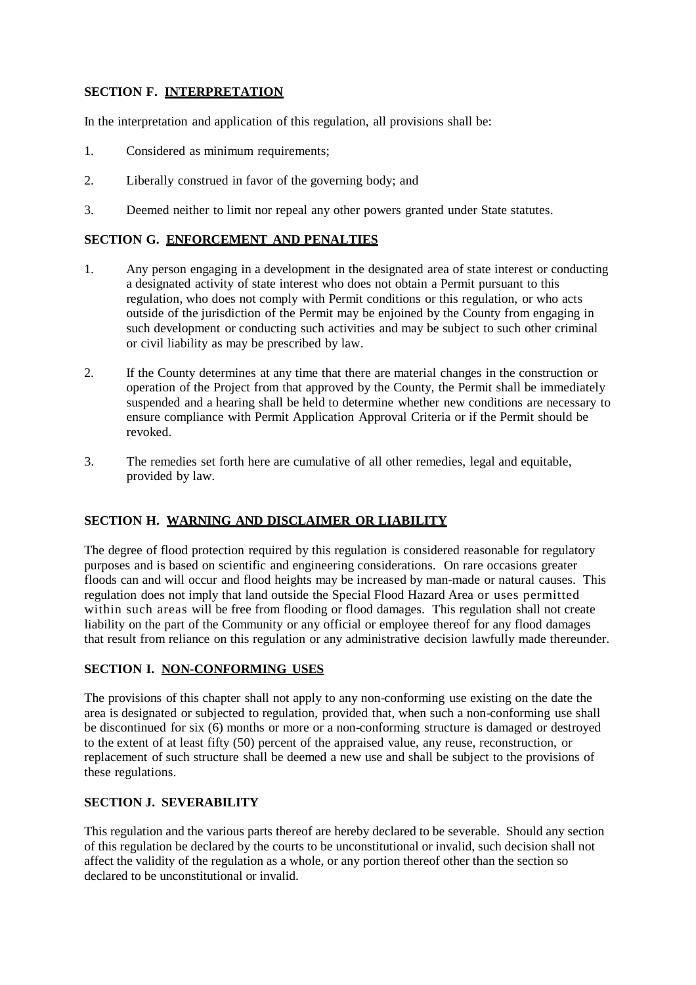### **SECTION F. INTERPRETATION**

In the interpretation and application of this regulation, all provisions shall be:

- 1. Considered as minimum requirements;
- 2. Liberally construed in favor of the governing body; and
- 3. Deemed neither to limit nor repeal any other powers granted under State statutes.

### **SECTION G. ENFORCEMENT AND PENALTIES**

- 1. Any person engaging in a development in the designated area of state interest or conducting a designated activity of state interest who does not obtain a Permit pursuant to this regulation, who does not comply with Permit conditions or this regulation, or who acts outside of the jurisdiction of the Permit may be enjoined by the County from engaging in such development or conducting such activities and may be subject to such other criminal or civil liability as may be prescribed by law.
- 2. If the County determines at any time that there are material changes in the construction or operation of the Project from that approved by the County, the Permit shall be immediately suspended and a hearing shall be held to determine whether new conditions are necessary to ensure compliance with Permit Application Approval Criteria or if the Permit should be revoked.
- 3. The remedies set forth here are cumulative of all other remedies, legal and equitable, provided by law.

### **SECTION H. WARNING AND DISCLAIMER OR LIABILITY**

The degree of flood protection required by this regulation is considered reasonable for regulatory purposes and is based on scientific and engineering considerations. On rare occasions greater floods can and will occur and flood heights may be increased by man-made or natural causes. This regulation does not imply that land outside the Special Flood Hazard Area or uses permitted within such areas will be free from flooding or flood damages. This regulation shall not create liability on the part of the Community or any official or employee thereof for any flood damages that result from reliance on this regulation or any administrative decision lawfully made thereunder.

#### **SECTION I. NON-CONFORMING USES**

The provisions of this chapter shall not apply to any non-conforming use existing on the date the area is designated or subjected to regulation, provided that, when such a non-conforming use shall be discontinued for six (6) months or more or a non-conforming structure is damaged or destroyed to the extent of at least fifty (50) percent of the appraised value, any reuse, reconstruction, or replacement of such structure shall be deemed a new use and shall be subject to the provisions of these regulations.

#### **SECTION J. SEVERABILITY**

This regulation and the various parts thereof are hereby declared to be severable. Should any section of this regulation be declared by the courts to be unconstitutional or invalid, such decision shall not affect the validity of the regulation as a whole, or any portion thereof other than the section so declared to be unconstitutional or invalid.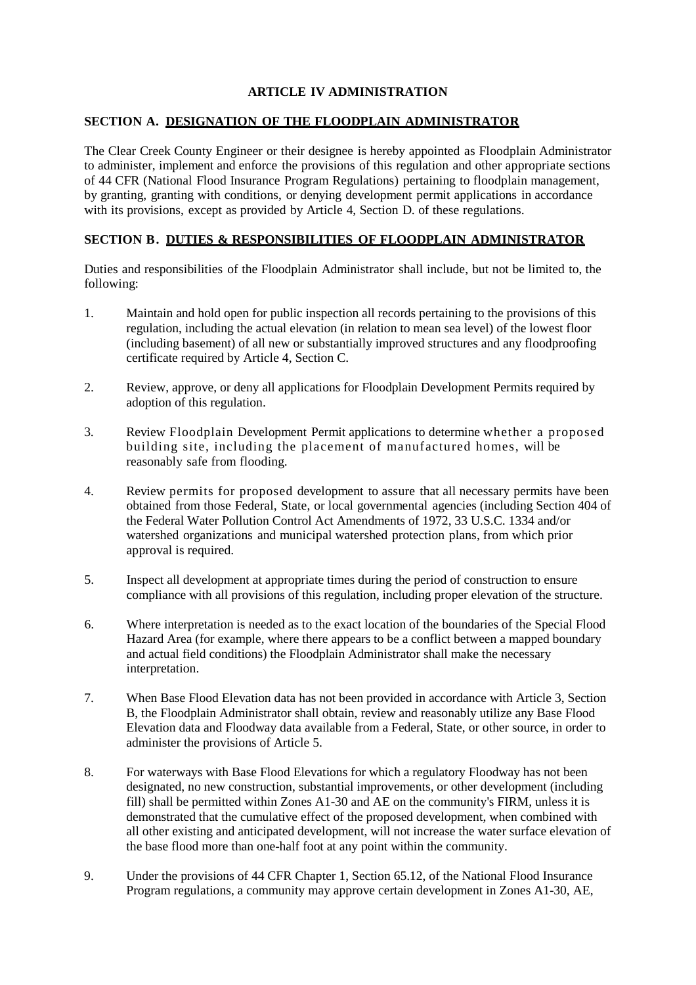### **ARTICLE IV ADMINISTRATION**

#### **SECTION A. DESIGNATION OF THE FLOODPLAIN ADMINISTRATOR**

The Clear Creek County Engineer or their designee is hereby appointed as Floodplain Administrator to administer, implement and enforce the provisions of this regulation and other appropriate sections of 44 CFR (National Flood Insurance Program Regulations) pertaining to floodplain management, by granting, granting with conditions, or denying development permit applications in accordance with its provisions, except as provided by Article 4, Section D. of these regulations.

### **SECTION B. DUTIES & RESPONSIBILITIES OF FLOODPLAIN ADMINISTRATOR**

Duties and responsibilities of the Floodplain Administrator shall include, but not be limited to, the following:

- 1. Maintain and hold open for public inspection all records pertaining to the provisions of this regulation, including the actual elevation (in relation to mean sea level) of the lowest floor (including basement) of all new or substantially improved structures and any floodproofing certificate required by Article 4, Section C.
- 2. Review, approve, or deny all applications for Floodplain Development Permits required by adoption of this regulation.
- 3. Review Floodplain Development Permit applications to determine whether a proposed building site, including the placement of manufactured homes, will be reasonably safe from flooding.
- 4. Review permits for proposed development to assure that all necessary permits have been obtained from those Federal, State, or local governmental agencies (including Section 404 of the Federal Water Pollution Control Act Amendments of 1972, 33 U.S.C. 1334 and/or watershed organizations and municipal watershed protection plans, from which prior approval is required.
- 5. Inspect all development at appropriate times during the period of construction to ensure compliance with all provisions of this regulation, including proper elevation of the structure.
- 6. Where interpretation is needed as to the exact location of the boundaries of the Special Flood Hazard Area (for example, where there appears to be a conflict between a mapped boundary and actual field conditions) the Floodplain Administrator shall make the necessary interpretation.
- 7. When Base Flood Elevation data has not been provided in accordance with Article 3, Section B, the Floodplain Administrator shall obtain, review and reasonably utilize any Base Flood Elevation data and Floodway data available from a Federal, State, or other source, in order to administer the provisions of Article 5.
- 8. For waterways with Base Flood Elevations for which a regulatory Floodway has not been designated, no new construction, substantial improvements, or other development (including fill) shall be permitted within Zones A1-30 and AE on the community's FIRM, unless it is demonstrated that the cumulative effect of the proposed development, when combined with all other existing and anticipated development, will not increase the water surface elevation of the base flood more than one-half foot at any point within the community.
- 9. Under the provisions of 44 CFR Chapter 1, Section 65.12, of the National Flood Insurance Program regulations, a community may approve certain development in Zones A1-30, AE,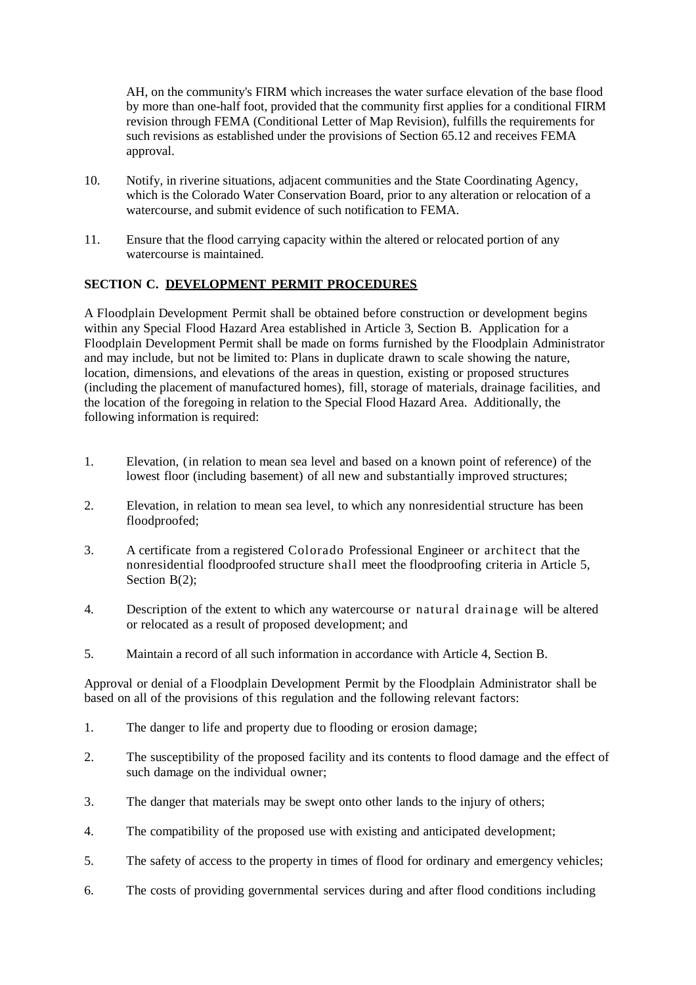AH, on the community's FIRM which increases the water surface elevation of the base flood by more than one-half foot, provided that the community first applies for a conditional FIRM revision through FEMA (Conditional Letter of Map Revision), fulfills the requirements for such revisions as established under the provisions of Section 65.12 and receives FEMA approval.

- 10. Notify, in riverine situations, adjacent communities and the State Coordinating Agency, which is the Colorado Water Conservation Board, prior to any alteration or relocation of a watercourse, and submit evidence of such notification to FEMA.
- 11. Ensure that the flood carrying capacity within the altered or relocated portion of any watercourse is maintained.

## **SECTION C. DEVELOPMENT PERMIT PROCEDURES**

A Floodplain Development Permit shall be obtained before construction or development begins within any Special Flood Hazard Area established in Article 3, Section B. Application for a Floodplain Development Permit shall be made on forms furnished by the Floodplain Administrator and may include, but not be limited to: Plans in duplicate drawn to scale showing the nature, location, dimensions, and elevations of the areas in question, existing or proposed structures (including the placement of manufactured homes), fill, storage of materials, drainage facilities, and the location of the foregoing in relation to the Special Flood Hazard Area. Additionally, the following information is required:

- 1. Elevation, (in relation to mean sea level and based on a known point of reference) of the lowest floor (including basement) of all new and substantially improved structures;
- 2. Elevation, in relation to mean sea level, to which any nonresidential structure has been floodproofed;
- 3. A certificate from a registered Colorado Professional Engineer or architect that the nonresidential floodproofed structure shall meet the floodproofing criteria in Article 5, Section B(2);
- 4. Description of the extent to which any watercourse or natural drainage will be altered or relocated as a result of proposed development; and
- 5. Maintain a record of all such information in accordance with Article 4, Section B.

Approval or denial of a Floodplain Development Permit by the Floodplain Administrator shall be based on all of the provisions of this regulation and the following relevant factors:

- 1. The danger to life and property due to flooding or erosion damage;
- 2. The susceptibility of the proposed facility and its contents to flood damage and the effect of such damage on the individual owner;
- 3. The danger that materials may be swept onto other lands to the injury of others;
- 4. The compatibility of the proposed use with existing and anticipated development;
- 5. The safety of access to the property in times of flood for ordinary and emergency vehicles;
- 6. The costs of providing governmental services during and after flood conditions including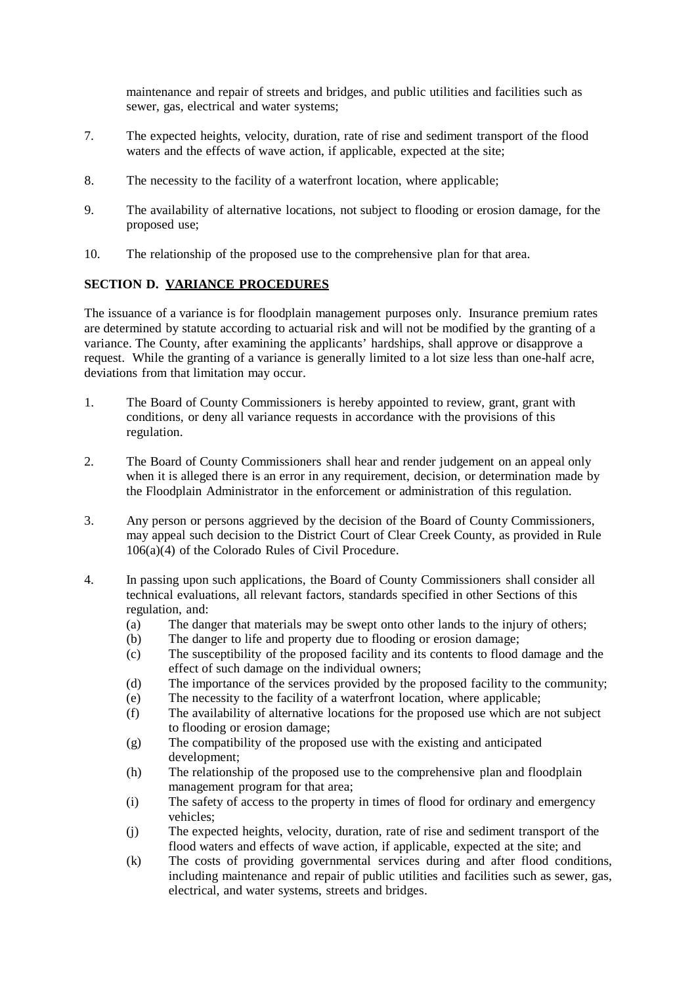maintenance and repair of streets and bridges, and public utilities and facilities such as sewer, gas, electrical and water systems;

- 7. The expected heights, velocity, duration, rate of rise and sediment transport of the flood waters and the effects of wave action, if applicable, expected at the site;
- 8. The necessity to the facility of a waterfront location, where applicable;
- 9. The availability of alternative locations, not subject to flooding or erosion damage, for the proposed use;
- 10. The relationship of the proposed use to the comprehensive plan for that area.

## **SECTION D. VARIANCE PROCEDURES**

The issuance of a variance is for floodplain management purposes only. Insurance premium rates are determined by statute according to actuarial risk and will not be modified by the granting of a variance. The County, after examining the applicants' hardships, shall approve or disapprove a request. While the granting of a variance is generally limited to a lot size less than one-half acre, deviations from that limitation may occur.

- 1. The Board of County Commissioners is hereby appointed to review, grant, grant with conditions, or deny all variance requests in accordance with the provisions of this regulation.
- 2. The Board of County Commissioners shall hear and render judgement on an appeal only when it is alleged there is an error in any requirement, decision, or determination made by the Floodplain Administrator in the enforcement or administration of this regulation.
- 3. Any person or persons aggrieved by the decision of the Board of County Commissioners, may appeal such decision to the District Court of Clear Creek County, as provided in Rule 106(a)(4) of the Colorado Rules of Civil Procedure.
- 4. In passing upon such applications, the Board of County Commissioners shall consider all technical evaluations, all relevant factors, standards specified in other Sections of this regulation, and:
	- (a) The danger that materials may be swept onto other lands to the injury of others;<br>(b) The danger to life and property due to flooding or erosion damage:
	- The danger to life and property due to flooding or erosion damage;
	- (c) The susceptibility of the proposed facility and its contents to flood damage and the effect of such damage on the individual owners;
	- (d) The importance of the services provided by the proposed facility to the community;
	- (e) The necessity to the facility of a waterfront location, where applicable;
	- (f) The availability of alternative locations for the proposed use which are not subject to flooding or erosion damage;
	- (g) The compatibility of the proposed use with the existing and anticipated development;
	- (h) The relationship of the proposed use to the comprehensive plan and floodplain management program for that area;
	- (i) The safety of access to the property in times of flood for ordinary and emergency vehicles;
	- (j) The expected heights, velocity, duration, rate of rise and sediment transport of the flood waters and effects of wave action, if applicable, expected at the site; and
	- (k) The costs of providing governmental services during and after flood conditions, including maintenance and repair of public utilities and facilities such as sewer, gas, electrical, and water systems, streets and bridges.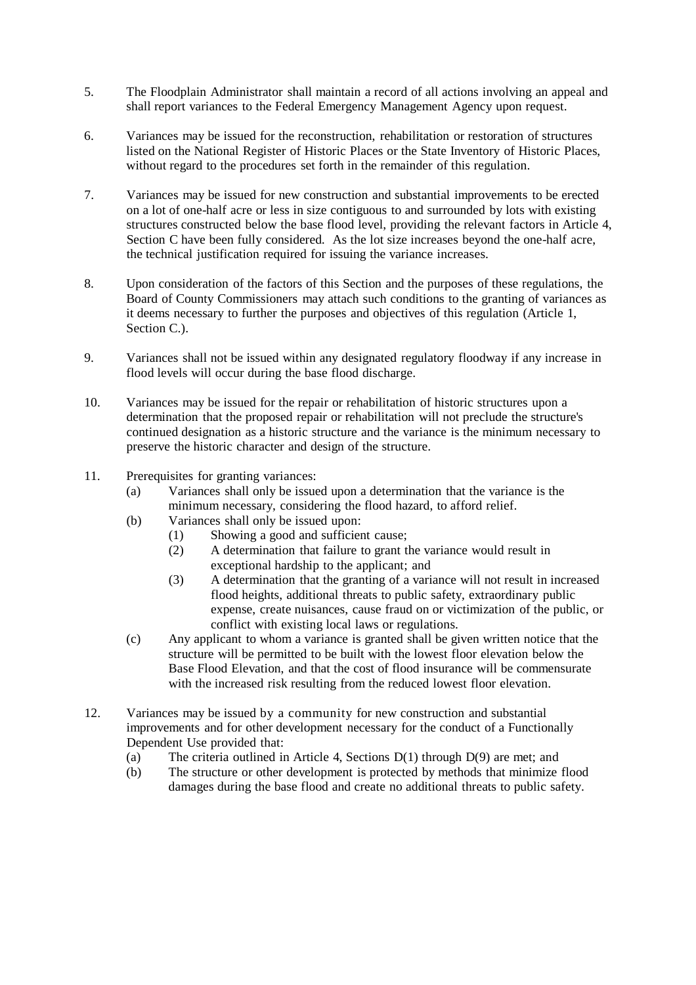- 5. The Floodplain Administrator shall maintain a record of all actions involving an appeal and shall report variances to the Federal Emergency Management Agency upon request.
- 6. Variances may be issued for the reconstruction, rehabilitation or restoration of structures listed on the National Register of Historic Places or the State Inventory of Historic Places, without regard to the procedures set forth in the remainder of this regulation.
- 7. Variances may be issued for new construction and substantial improvements to be erected on a lot of one-half acre or less in size contiguous to and surrounded by lots with existing structures constructed below the base flood level, providing the relevant factors in Article 4, Section C have been fully considered. As the lot size increases beyond the one-half acre, the technical justification required for issuing the variance increases.
- 8. Upon consideration of the factors of this Section and the purposes of these regulations, the Board of County Commissioners may attach such conditions to the granting of variances as it deems necessary to further the purposes and objectives of this regulation (Article 1, Section C.).
- 9. Variances shall not be issued within any designated regulatory floodway if any increase in flood levels will occur during the base flood discharge.
- 10. Variances may be issued for the repair or rehabilitation of historic structures upon a determination that the proposed repair or rehabilitation will not preclude the structure's continued designation as a historic structure and the variance is the minimum necessary to preserve the historic character and design of the structure.
- 11. Prerequisites for granting variances:
	- (a) Variances shall only be issued upon a determination that the variance is the minimum necessary, considering the flood hazard, to afford relief.
	- (b) Variances shall only be issued upon:
		- (1) Showing a good and sufficient cause;
		- (2) A determination that failure to grant the variance would result in exceptional hardship to the applicant; and
		- (3) A determination that the granting of a variance will not result in increased flood heights, additional threats to public safety, extraordinary public expense, create nuisances, cause fraud on or victimization of the public, or conflict with existing local laws or regulations.
	- (c) Any applicant to whom a variance is granted shall be given written notice that the structure will be permitted to be built with the lowest floor elevation below the Base Flood Elevation, and that the cost of flood insurance will be commensurate with the increased risk resulting from the reduced lowest floor elevation.
- 12. Variances may be issued by a community for new construction and substantial improvements and for other development necessary for the conduct of a Functionally Dependent Use provided that:
	- (a) The criteria outlined in Article 4, Sections D(1) through D(9) are met; and
	- (b) The structure or other development is protected by methods that minimize flood damages during the base flood and create no additional threats to public safety.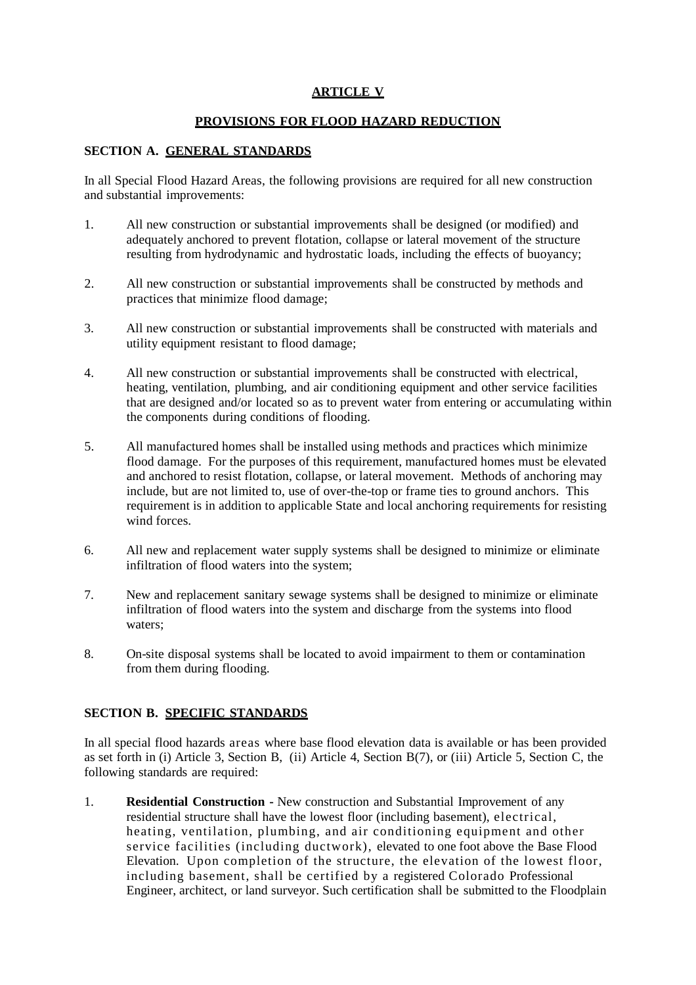## **ARTICLE V**

### **PROVISIONS FOR FLOOD HAZARD REDUCTION**

### **SECTION A. GENERAL STANDARDS**

In all Special Flood Hazard Areas, the following provisions are required for all new construction and substantial improvements:

- 1. All new construction or substantial improvements shall be designed (or modified) and adequately anchored to prevent flotation, collapse or lateral movement of the structure resulting from hydrodynamic and hydrostatic loads, including the effects of buoyancy;
- 2. All new construction or substantial improvements shall be constructed by methods and practices that minimize flood damage;
- 3. All new construction or substantial improvements shall be constructed with materials and utility equipment resistant to flood damage;
- 4. All new construction or substantial improvements shall be constructed with electrical, heating, ventilation, plumbing, and air conditioning equipment and other service facilities that are designed and/or located so as to prevent water from entering or accumulating within the components during conditions of flooding.
- 5. All manufactured homes shall be installed using methods and practices which minimize flood damage. For the purposes of this requirement, manufactured homes must be elevated and anchored to resist flotation, collapse, or lateral movement. Methods of anchoring may include, but are not limited to, use of over-the-top or frame ties to ground anchors. This requirement is in addition to applicable State and local anchoring requirements for resisting wind forces.
- 6. All new and replacement water supply systems shall be designed to minimize or eliminate infiltration of flood waters into the system;
- 7. New and replacement sanitary sewage systems shall be designed to minimize or eliminate infiltration of flood waters into the system and discharge from the systems into flood waters;
- 8. On-site disposal systems shall be located to avoid impairment to them or contamination from them during flooding.

#### **SECTION B. SPECIFIC STANDARDS**

In all special flood hazards areas where base flood elevation data is available or has been provided as set forth in (i) Article 3, Section B, (ii) Article 4, Section B(7), or (iii) Article 5, Section C, the following standards are required:

1. **Residential Construction -** New construction and Substantial Improvement of any residential structure shall have the lowest floor (including basement), electrical, heating, ventilation, plumbing, and air conditioning equipment and other service facilities (including ductwork), elevated to one foot above the Base Flood Elevation. Upon completion of the structure, the elevation of the lowest floor, including basement, shall be certified by a registered Colorado Professional Engineer, architect, or land surveyor. Such certification shall be submitted to the Floodplain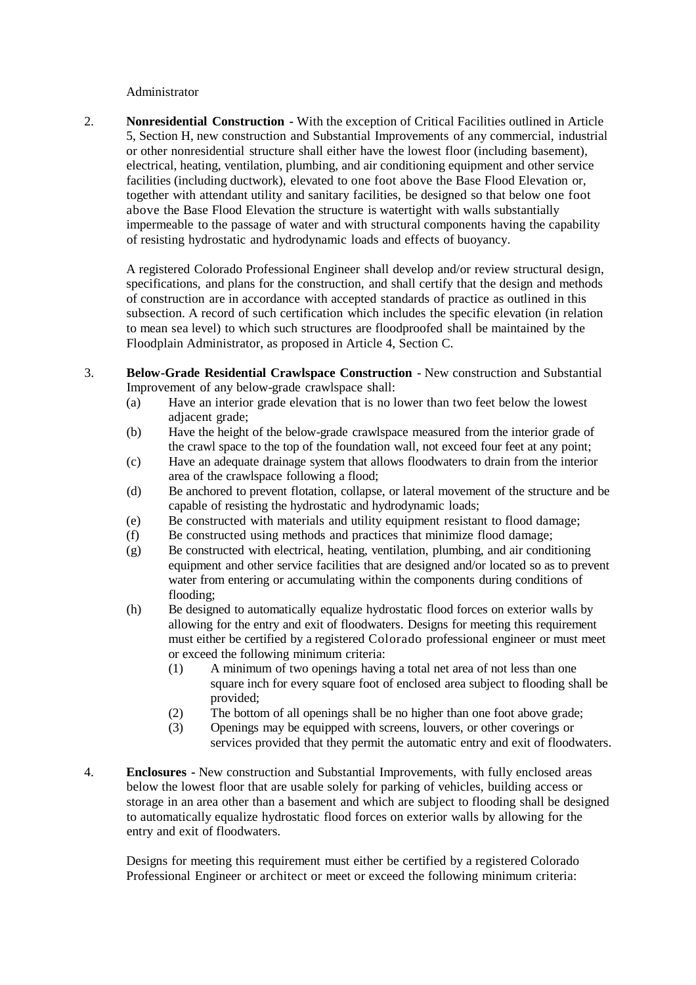#### Administrator

2. **Nonresidential Construction -** With the exception of Critical Facilities outlined in Article 5, Section H, new construction and Substantial Improvements of any commercial, industrial or other nonresidential structure shall either have the lowest floor (including basement), electrical, heating, ventilation, plumbing, and air conditioning equipment and other service facilities (including ductwork), elevated to one foot above the Base Flood Elevation or, together with attendant utility and sanitary facilities, be designed so that below one foot above the Base Flood Elevation the structure is watertight with walls substantially impermeable to the passage of water and with structural components having the capability of resisting hydrostatic and hydrodynamic loads and effects of buoyancy.

A registered Colorado Professional Engineer shall develop and/or review structural design, specifications, and plans for the construction, and shall certify that the design and methods of construction are in accordance with accepted standards of practice as outlined in this subsection. A record of such certification which includes the specific elevation (in relation to mean sea level) to which such structures are floodproofed shall be maintained by the Floodplain Administrator, as proposed in Article 4, Section C.

- 3. **Below-Grade Residential Crawlspace Construction** New construction and Substantial Improvement of any below-grade crawlspace shall:
	- (a) Have an interior grade elevation that is no lower than two feet below the lowest adjacent grade;
	- (b) Have the height of the below-grade crawlspace measured from the interior grade of the crawl space to the top of the foundation wall, not exceed four feet at any point;
	- (c) Have an adequate drainage system that allows floodwaters to drain from the interior area of the crawlspace following a flood;
	- (d) Be anchored to prevent flotation, collapse, or lateral movement of the structure and be capable of resisting the hydrostatic and hydrodynamic loads;
	- (e) Be constructed with materials and utility equipment resistant to flood damage;
	- (f) Be constructed using methods and practices that minimize flood damage;
	- (g) Be constructed with electrical, heating, ventilation, plumbing, and air conditioning equipment and other service facilities that are designed and/or located so as to prevent water from entering or accumulating within the components during conditions of flooding;
	- (h) Be designed to automatically equalize hydrostatic flood forces on exterior walls by allowing for the entry and exit of floodwaters. Designs for meeting this requirement must either be certified by a registered Colorado professional engineer or must meet or exceed the following minimum criteria:
		- (1) A minimum of two openings having a total net area of not less than one square inch for every square foot of enclosed area subject to flooding shall be provided;
		- (2) The bottom of all openings shall be no higher than one foot above grade;
		- (3) Openings may be equipped with screens, louvers, or other coverings or services provided that they permit the automatic entry and exit of floodwaters.
- 4. **Enclosures -** New construction and Substantial Improvements, with fully enclosed areas below the lowest floor that are usable solely for parking of vehicles, building access or storage in an area other than a basement and which are subject to flooding shall be designed to automatically equalize hydrostatic flood forces on exterior walls by allowing for the entry and exit of floodwaters.

Designs for meeting this requirement must either be certified by a registered Colorado Professional Engineer or architect or meet or exceed the following minimum criteria: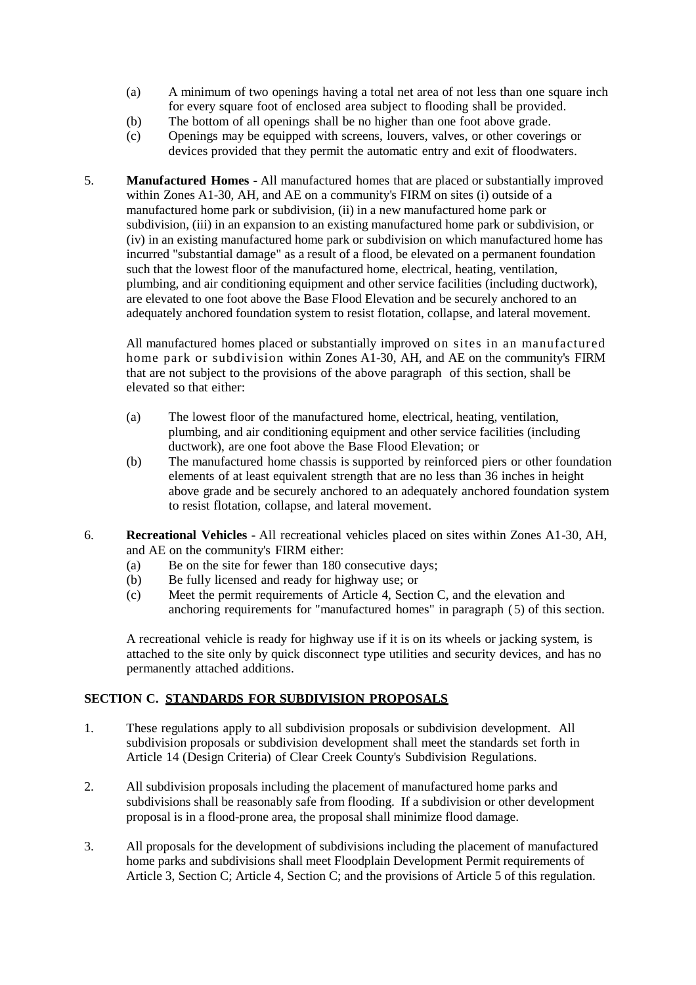- (a) A minimum of two openings having a total net area of not less than one square inch for every square foot of enclosed area subject to flooding shall be provided.
- 
- (b) The bottom of all openings shall be no higher than one foot above grade.<br>
(c) Openings may be equipped with screens, louvers, valves, or other covering (c) Openings may be equipped with screens, louvers, valves, or other coverings or devices provided that they permit the automatic entry and exit of floodwaters.
- 5. **Manufactured Homes** All manufactured homes that are placed or substantially improved within Zones A1-30, AH, and AE on a community's FIRM on sites (i) outside of a manufactured home park or subdivision, (ii) in a new manufactured home park or subdivision, (iii) in an expansion to an existing manufactured home park or subdivision, or (iv) in an existing manufactured home park or subdivision on which manufactured home has incurred "substantial damage" as a result of a flood, be elevated on a permanent foundation such that the lowest floor of the manufactured home, electrical, heating, ventilation, plumbing, and air conditioning equipment and other service facilities (including ductwork), are elevated to one foot above the Base Flood Elevation and be securely anchored to an adequately anchored foundation system to resist flotation, collapse, and lateral movement.

All manufactured homes placed or substantially improved on sites in an manufactured home park or subdivision within Zones A1-30, AH, and AE on the community's FIRM that are not subject to the provisions of the above paragraph of this section, shall be elevated so that either:

- (a) The lowest floor of the manufactured home, electrical, heating, ventilation, plumbing, and air conditioning equipment and other service facilities (including ductwork), are one foot above the Base Flood Elevation; or
- (b) The manufactured home chassis is supported by reinforced piers or other foundation elements of at least equivalent strength that are no less than 36 inches in height above grade and be securely anchored to an adequately anchored foundation system to resist flotation, collapse, and lateral movement.
- 6. **Recreational Vehicles -** All recreational vehicles placed on sites within Zones A1-30, AH, and AE on the community's FIRM either:
	- (a) Be on the site for fewer than 180 consecutive days;
	- (b) Be fully licensed and ready for highway use; or
	- (c) Meet the permit requirements of Article 4, Section C, and the elevation and anchoring requirements for "manufactured homes" in paragraph (5) of this section.

A recreational vehicle is ready for highway use if it is on its wheels or jacking system, is attached to the site only by quick disconnect type utilities and security devices, and has no permanently attached additions.

## **SECTION C. STANDARDS FOR SUBDIVISION PROPOSALS**

- 1. These regulations apply to all subdivision proposals or subdivision development. All subdivision proposals or subdivision development shall meet the standards set forth in Article 14 (Design Criteria) of Clear Creek County's Subdivision Regulations.
- 2. All subdivision proposals including the placement of manufactured home parks and subdivisions shall be reasonably safe from flooding. If a subdivision or other development proposal is in a flood-prone area, the proposal shall minimize flood damage.
- 3. All proposals for the development of subdivisions including the placement of manufactured home parks and subdivisions shall meet Floodplain Development Permit requirements of Article 3, Section C; Article 4, Section C; and the provisions of Article 5 of this regulation.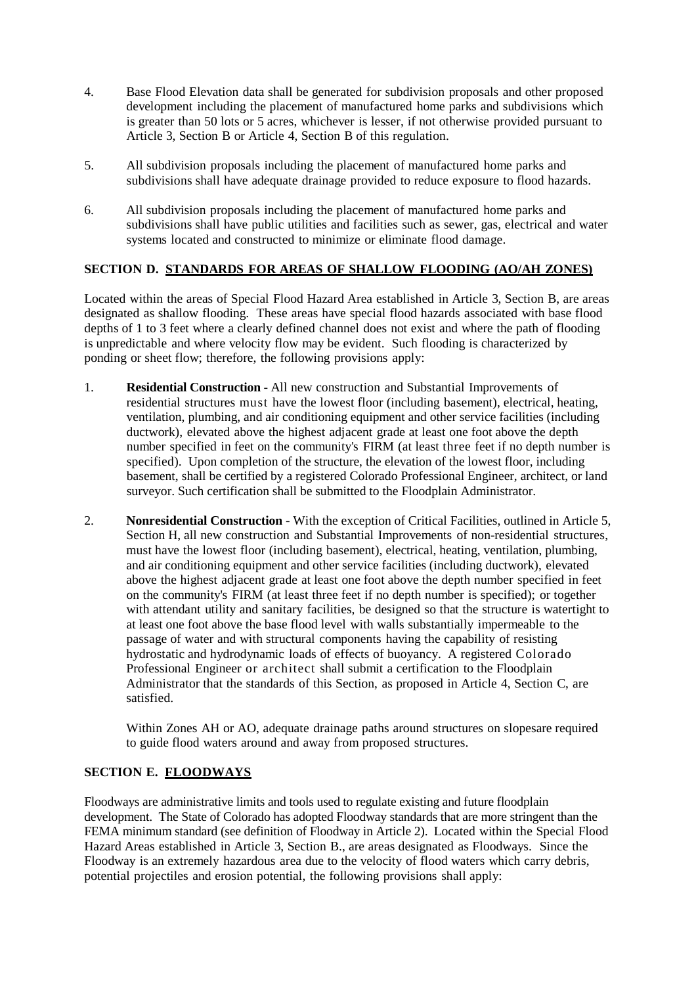- 4. Base Flood Elevation data shall be generated for subdivision proposals and other proposed development including the placement of manufactured home parks and subdivisions which is greater than 50 lots or 5 acres, whichever is lesser, if not otherwise provided pursuant to Article 3, Section B or Article 4, Section B of this regulation.
- 5. All subdivision proposals including the placement of manufactured home parks and subdivisions shall have adequate drainage provided to reduce exposure to flood hazards.
- 6. All subdivision proposals including the placement of manufactured home parks and subdivisions shall have public utilities and facilities such as sewer, gas, electrical and water systems located and constructed to minimize or eliminate flood damage.

## **SECTION D. STANDARDS FOR AREAS OF SHALLOW FLOODING (AO/AH ZONES)**

Located within the areas of Special Flood Hazard Area established in Article 3, Section B, are areas designated as shallow flooding. These areas have special flood hazards associated with base flood depths of 1 to 3 feet where a clearly defined channel does not exist and where the path of flooding is unpredictable and where velocity flow may be evident. Such flooding is characterized by ponding or sheet flow; therefore, the following provisions apply:

- 1. **Residential Construction** All new construction and Substantial Improvements of residential structures must have the lowest floor (including basement), electrical, heating, ventilation, plumbing, and air conditioning equipment and other service facilities (including ductwork), elevated above the highest adjacent grade at least one foot above the depth number specified in feet on the community's FIRM (at least three feet if no depth number is specified). Upon completion of the structure, the elevation of the lowest floor, including basement, shall be certified by a registered Colorado Professional Engineer, architect, or land surveyor. Such certification shall be submitted to the Floodplain Administrator.
- 2. **Nonresidential Construction** With the exception of Critical Facilities, outlined in Article 5, Section H, all new construction and Substantial Improvements of non-residential structures, must have the lowest floor (including basement), electrical, heating, ventilation, plumbing, and air conditioning equipment and other service facilities (including ductwork), elevated above the highest adjacent grade at least one foot above the depth number specified in feet on the community's FIRM (at least three feet if no depth number is specified); or together with attendant utility and sanitary facilities, be designed so that the structure is watertight to at least one foot above the base flood level with walls substantially impermeable to the passage of water and with structural components having the capability of resisting hydrostatic and hydrodynamic loads of effects of buoyancy. A registered Colorado Professional Engineer or architect shall submit a certification to the Floodplain Administrator that the standards of this Section, as proposed in Article 4, Section C, are satisfied.

Within Zones AH or AO, adequate drainage paths around structures on slopesare required to guide flood waters around and away from proposed structures.

## **SECTION E. FLOODWAYS**

Floodways are administrative limits and tools used to regulate existing and future floodplain development. The State of Colorado has adopted Floodway standards that are more stringent than the FEMA minimum standard (see definition of Floodway in Article 2). Located within the Special Flood Hazard Areas established in Article 3, Section B., are areas designated as Floodways. Since the Floodway is an extremely hazardous area due to the velocity of flood waters which carry debris, potential projectiles and erosion potential, the following provisions shall apply: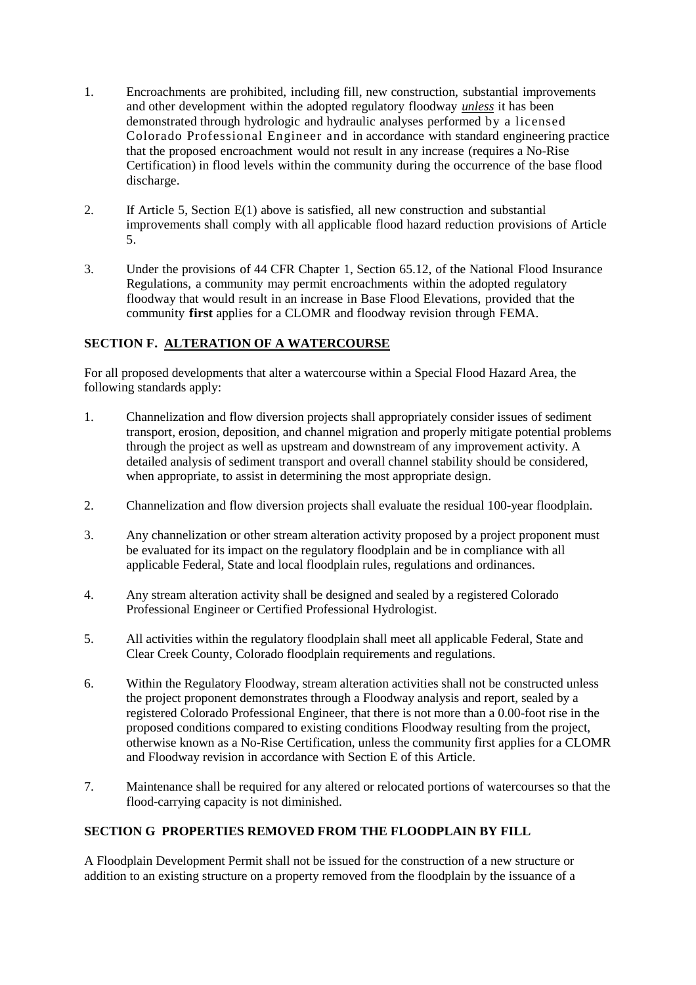- 1. Encroachments are prohibited, including fill, new construction, substantial improvements and other development within the adopted regulatory floodway *unless* it has been demonstrated through hydrologic and hydraulic analyses performed by a licensed Colorado Professional Engineer and in accordance with standard engineering practice that the proposed encroachment would not result in any increase (requires a No-Rise Certification) in flood levels within the community during the occurrence of the base flood discharge.
- 2. If Article 5, Section E(1) above is satisfied, all new construction and substantial improvements shall comply with all applicable flood hazard reduction provisions of Article 5.
- 3. Under the provisions of 44 CFR Chapter 1, Section 65.12, of the National Flood Insurance Regulations, a community may permit encroachments within the adopted regulatory floodway that would result in an increase in Base Flood Elevations, provided that the community **first** applies for a CLOMR and floodway revision through FEMA.

# **SECTION F. ALTERATION OF A WATERCOURSE**

For all proposed developments that alter a watercourse within a Special Flood Hazard Area, the following standards apply:

- 1. Channelization and flow diversion projects shall appropriately consider issues of sediment transport, erosion, deposition, and channel migration and properly mitigate potential problems through the project as well as upstream and downstream of any improvement activity. A detailed analysis of sediment transport and overall channel stability should be considered, when appropriate, to assist in determining the most appropriate design.
- 2. Channelization and flow diversion projects shall evaluate the residual 100-year floodplain.
- 3. Any channelization or other stream alteration activity proposed by a project proponent must be evaluated for its impact on the regulatory floodplain and be in compliance with all applicable Federal, State and local floodplain rules, regulations and ordinances.
- 4. Any stream alteration activity shall be designed and sealed by a registered Colorado Professional Engineer or Certified Professional Hydrologist.
- 5. All activities within the regulatory floodplain shall meet all applicable Federal, State and Clear Creek County, Colorado floodplain requirements and regulations.
- 6. Within the Regulatory Floodway, stream alteration activities shall not be constructed unless the project proponent demonstrates through a Floodway analysis and report, sealed by a registered Colorado Professional Engineer, that there is not more than a 0.00-foot rise in the proposed conditions compared to existing conditions Floodway resulting from the project, otherwise known as a No-Rise Certification, unless the community first applies for a CLOMR and Floodway revision in accordance with Section E of this Article.
- 7. Maintenance shall be required for any altered or relocated portions of watercourses so that the flood-carrying capacity is not diminished.

# **SECTION G PROPERTIES REMOVED FROM THE FLOODPLAIN BY FILL**

A Floodplain Development Permit shall not be issued for the construction of a new structure or addition to an existing structure on a property removed from the floodplain by the issuance of a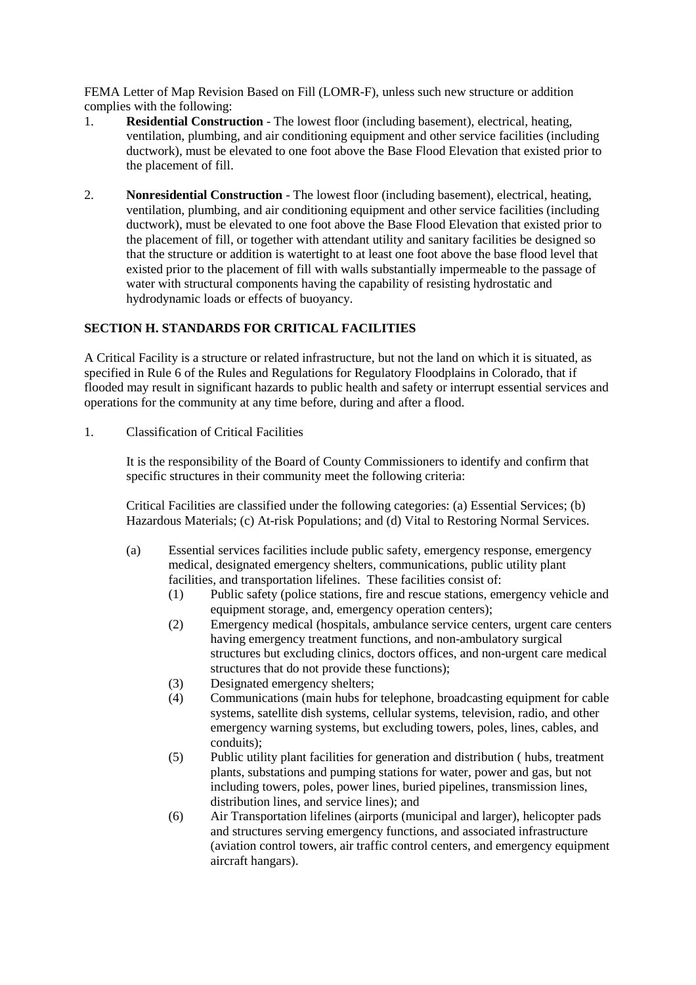FEMA Letter of Map Revision Based on Fill (LOMR-F), unless such new structure or addition complies with the following:

- 1. **Residential Construction** The lowest floor (including basement), electrical, heating, ventilation, plumbing, and air conditioning equipment and other service facilities (including ductwork), must be elevated to one foot above the Base Flood Elevation that existed prior to the placement of fill.
- 2. **Nonresidential Construction** The lowest floor (including basement), electrical, heating, ventilation, plumbing, and air conditioning equipment and other service facilities (including ductwork), must be elevated to one foot above the Base Flood Elevation that existed prior to the placement of fill, or together with attendant utility and sanitary facilities be designed so that the structure or addition is watertight to at least one foot above the base flood level that existed prior to the placement of fill with walls substantially impermeable to the passage of water with structural components having the capability of resisting hydrostatic and hydrodynamic loads or effects of buoyancy.

## **SECTION H. STANDARDS FOR CRITICAL FACILITIES**

A Critical Facility is a structure or related infrastructure, but not the land on which it is situated, as specified in Rule 6 of the Rules and Regulations for Regulatory Floodplains in Colorado, that if flooded may result in significant hazards to public health and safety or interrupt essential services and operations for the community at any time before, during and after a flood.

1. Classification of Critical Facilities

It is the responsibility of the Board of County Commissioners to identify and confirm that specific structures in their community meet the following criteria:

Critical Facilities are classified under the following categories: (a) Essential Services; (b) Hazardous Materials; (c) At-risk Populations; and (d) Vital to Restoring Normal Services.

- (a) Essential services facilities include public safety, emergency response, emergency medical, designated emergency shelters, communications, public utility plant facilities, and transportation lifelines. These facilities consist of:
	- (1) Public safety (police stations, fire and rescue stations, emergency vehicle and equipment storage, and, emergency operation centers);
	- (2) Emergency medical (hospitals, ambulance service centers, urgent care centers having emergency treatment functions, and non-ambulatory surgical structures but excluding clinics, doctors offices, and non-urgent care medical structures that do not provide these functions);
	- (3) Designated emergency shelters;
	- (4) Communications (main hubs for telephone, broadcasting equipment for cable systems, satellite dish systems, cellular systems, television, radio, and other emergency warning systems, but excluding towers, poles, lines, cables, and conduits);
	- (5) Public utility plant facilities for generation and distribution ( hubs, treatment plants, substations and pumping stations for water, power and gas, but not including towers, poles, power lines, buried pipelines, transmission lines, distribution lines, and service lines); and
	- (6) Air Transportation lifelines (airports (municipal and larger), helicopter pads and structures serving emergency functions, and associated infrastructure (aviation control towers, air traffic control centers, and emergency equipment aircraft hangars).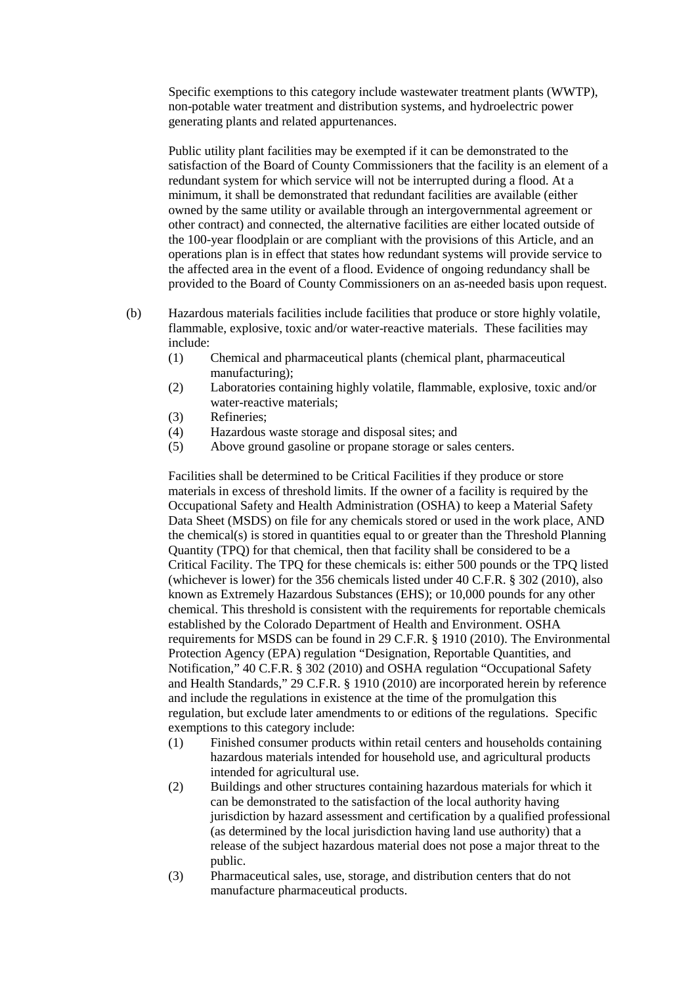Specific exemptions to this category include wastewater treatment plants (WWTP), non-potable water treatment and distribution systems, and hydroelectric power generating plants and related appurtenances.

Public utility plant facilities may be exempted if it can be demonstrated to the satisfaction of the Board of County Commissioners that the facility is an element of a redundant system for which service will not be interrupted during a flood. At a minimum, it shall be demonstrated that redundant facilities are available (either owned by the same utility or available through an intergovernmental agreement or other contract) and connected, the alternative facilities are either located outside of the 100-year floodplain or are compliant with the provisions of this Article, and an operations plan is in effect that states how redundant systems will provide service to the affected area in the event of a flood. Evidence of ongoing redundancy shall be provided to the Board of County Commissioners on an as-needed basis upon request.

- (b) Hazardous materials facilities include facilities that produce or store highly volatile, flammable, explosive, toxic and/or water-reactive materials. These facilities may include:
	- (1) Chemical and pharmaceutical plants (chemical plant, pharmaceutical manufacturing);
	- (2) Laboratories containing highly volatile, flammable, explosive, toxic and/or water-reactive materials;
	- (3) Refineries;<br>(4) Hazardous
	- Hazardous waste storage and disposal sites; and
	- (5) Above ground gasoline or propane storage or sales centers.

Facilities shall be determined to be Critical Facilities if they produce or store materials in excess of threshold limits. If the owner of a facility is required by the Occupational Safety and Health Administration (OSHA) to keep a Material Safety Data Sheet (MSDS) on file for any chemicals stored or used in the work place, AND the chemical(s) is stored in quantities equal to or greater than the Threshold Planning Quantity (TPQ) for that chemical, then that facility shall be considered to be a Critical Facility. The TPQ for these chemicals is: either 500 pounds or the TPQ listed (whichever is lower) for the 356 chemicals listed under 40 C.F.R. § 302 (2010), also known as Extremely Hazardous Substances (EHS); or 10,000 pounds for any other chemical. This threshold is consistent with the requirements for reportable chemicals established by the Colorado Department of Health and Environment. OSHA requirements for MSDS can be found in 29 C.F.R. § 1910 (2010). The Environmental Protection Agency (EPA) regulation "Designation, Reportable Quantities, and Notification," 40 C.F.R. § 302 (2010) and OSHA regulation "Occupational Safety and Health Standards," 29 C.F.R. § 1910 (2010) are incorporated herein by reference and include the regulations in existence at the time of the promulgation this regulation, but exclude later amendments to or editions of the regulations. Specific exemptions to this category include:

- (1) Finished consumer products within retail centers and households containing hazardous materials intended for household use, and agricultural products intended for agricultural use.
- (2) Buildings and other structures containing hazardous materials for which it can be demonstrated to the satisfaction of the local authority having jurisdiction by hazard assessment and certification by a qualified professional (as determined by the local jurisdiction having land use authority) that a release of the subject hazardous material does not pose a major threat to the public.
- (3) Pharmaceutical sales, use, storage, and distribution centers that do not manufacture pharmaceutical products.